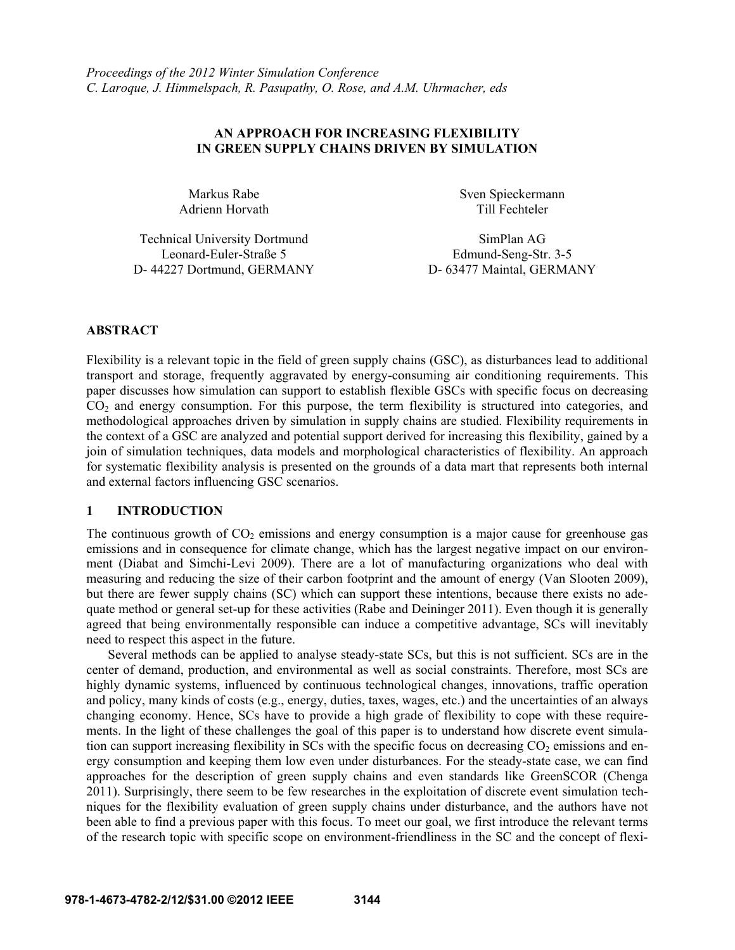## **AN APPROACH FOR INCREASING FLEXIBILITY IN GREEN SUPPLY CHAINS DRIVEN BY SIMULATION**

Markus Rabe Adrienn Horvath Sven Spieckermann Till Fechteler

Technical University Dortmund SimPlan AG Leonard-Euler-Straße 5 Edmund-Seng-Str. 3-5 D- 44227 Dortmund, GERMANY D- 63477 Maintal, GERMANY

## **ABSTRACT**

Flexibility is a relevant topic in the field of green supply chains (GSC), as disturbances lead to additional transport and storage, frequently aggravated by energy-consuming air conditioning requirements. This paper discusses how simulation can support to establish flexible GSCs with specific focus on decreasing CO2 and energy consumption. For this purpose, the term flexibility is structured into categories, and methodological approaches driven by simulation in supply chains are studied. Flexibility requirements in the context of a GSC are analyzed and potential support derived for increasing this flexibility, gained by a join of simulation techniques, data models and morphological characteristics of flexibility. An approach for systematic flexibility analysis is presented on the grounds of a data mart that represents both internal and external factors influencing GSC scenarios.

### **1 INTRODUCTION**

The continuous growth of  $CO<sub>2</sub>$  emissions and energy consumption is a major cause for greenhouse gas emissions and in consequence for climate change, which has the largest negative impact on our environment (Diabat and Simchi-Levi 2009). There are a lot of manufacturing organizations who deal with measuring and reducing the size of their carbon footprint and the amount of energy (Van Slooten 2009), but there are fewer supply chains (SC) which can support these intentions, because there exists no adequate method or general set-up for these activities (Rabe and Deininger 2011). Even though it is generally agreed that being environmentally responsible can induce a competitive advantage, SCs will inevitably need to respect this aspect in the future.

Several methods can be applied to analyse steady-state SCs, but this is not sufficient. SCs are in the center of demand, production, and environmental as well as social constraints. Therefore, most SCs are highly dynamic systems, influenced by continuous technological changes, innovations, traffic operation and policy, many kinds of costs (e.g., energy, duties, taxes, wages, etc.) and the uncertainties of an always changing economy. Hence, SCs have to provide a high grade of flexibility to cope with these requirements. In the light of these challenges the goal of this paper is to understand how discrete event simulation can support increasing flexibility in SCs with the specific focus on decreasing  $CO<sub>2</sub>$  emissions and energy consumption and keeping them low even under disturbances. For the steady-state case, we can find approaches for the description of green supply chains and even standards like GreenSCOR (Chenga 2011). Surprisingly, there seem to be few researches in the exploitation of discrete event simulation techniques for the flexibility evaluation of green supply chains under disturbance, and the authors have not been able to find a previous paper with this focus. To meet our goal, we first introduce the relevant terms of the research topic with specific scope on environment-friendliness in the SC and the concept of flexi-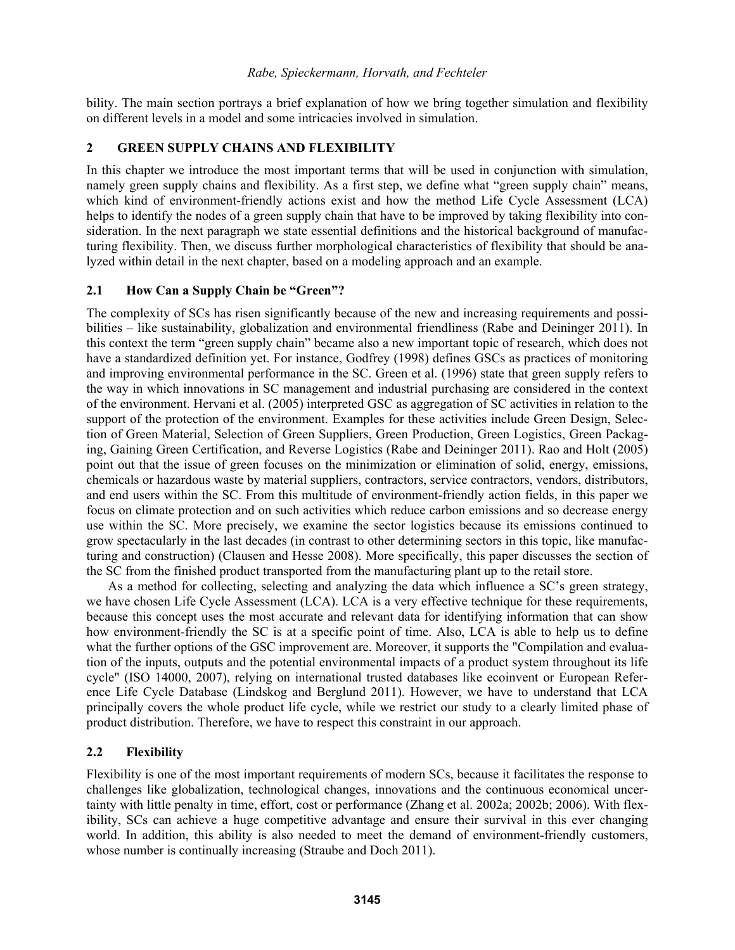bility. The main section portrays a brief explanation of how we bring together simulation and flexibility on different levels in a model and some intricacies involved in simulation.

## **2 GREEN SUPPLY CHAINS AND FLEXIBILITY**

In this chapter we introduce the most important terms that will be used in conjunction with simulation, namely green supply chains and flexibility. As a first step, we define what "green supply chain" means, which kind of environment-friendly actions exist and how the method Life Cycle Assessment (LCA) helps to identify the nodes of a green supply chain that have to be improved by taking flexibility into consideration. In the next paragraph we state essential definitions and the historical background of manufacturing flexibility. Then, we discuss further morphological characteristics of flexibility that should be analyzed within detail in the next chapter, based on a modeling approach and an example.

## **2.1 How Can a Supply Chain be "Green"?**

The complexity of SCs has risen significantly because of the new and increasing requirements and possibilities – like sustainability, globalization and environmental friendliness (Rabe and Deininger 2011). In this context the term "green supply chain" became also a new important topic of research, which does not have a standardized definition yet. For instance, Godfrey (1998) defines GSCs as practices of monitoring and improving environmental performance in the SC. Green et al. (1996) state that green supply refers to the way in which innovations in SC management and industrial purchasing are considered in the context of the environment. Hervani et al. (2005) interpreted GSC as aggregation of SC activities in relation to the support of the protection of the environment. Examples for these activities include Green Design, Selection of Green Material, Selection of Green Suppliers, Green Production, Green Logistics, Green Packaging, Gaining Green Certification, and Reverse Logistics (Rabe and Deininger 2011). Rao and Holt (2005) point out that the issue of green focuses on the minimization or elimination of solid, energy, emissions, chemicals or hazardous waste by material suppliers, contractors, service contractors, vendors, distributors, and end users within the SC. From this multitude of environment-friendly action fields, in this paper we focus on climate protection and on such activities which reduce carbon emissions and so decrease energy use within the SC. More precisely, we examine the sector logistics because its emissions continued to grow spectacularly in the last decades (in contrast to other determining sectors in this topic, like manufacturing and construction) (Clausen and Hesse 2008). More specifically, this paper discusses the section of the SC from the finished product transported from the manufacturing plant up to the retail store.

As a method for collecting, selecting and analyzing the data which influence a SC's green strategy, we have chosen Life Cycle Assessment (LCA). LCA is a very effective technique for these requirements, because this concept uses the most accurate and relevant data for identifying information that can show how environment-friendly the SC is at a specific point of time. Also, LCA is able to help us to define what the further options of the GSC improvement are. Moreover, it supports the "Compilation and evaluation of the inputs, outputs and the potential environmental impacts of a product system throughout its life cycle" (ISO 14000, 2007), relying on international trusted databases like ecoinvent or European Reference Life Cycle Database (Lindskog and Berglund 2011). However, we have to understand that LCA principally covers the whole product life cycle, while we restrict our study to a clearly limited phase of product distribution. Therefore, we have to respect this constraint in our approach.

# **2.2 Flexibility**

Flexibility is one of the most important requirements of modern SCs, because it facilitates the response to challenges like globalization, technological changes, innovations and the continuous economical uncertainty with little penalty in time, effort, cost or performance (Zhang et al. 2002a; 2002b; 2006). With flexibility, SCs can achieve a huge competitive advantage and ensure their survival in this ever changing world. In addition, this ability is also needed to meet the demand of environment-friendly customers, whose number is continually increasing (Straube and Doch 2011).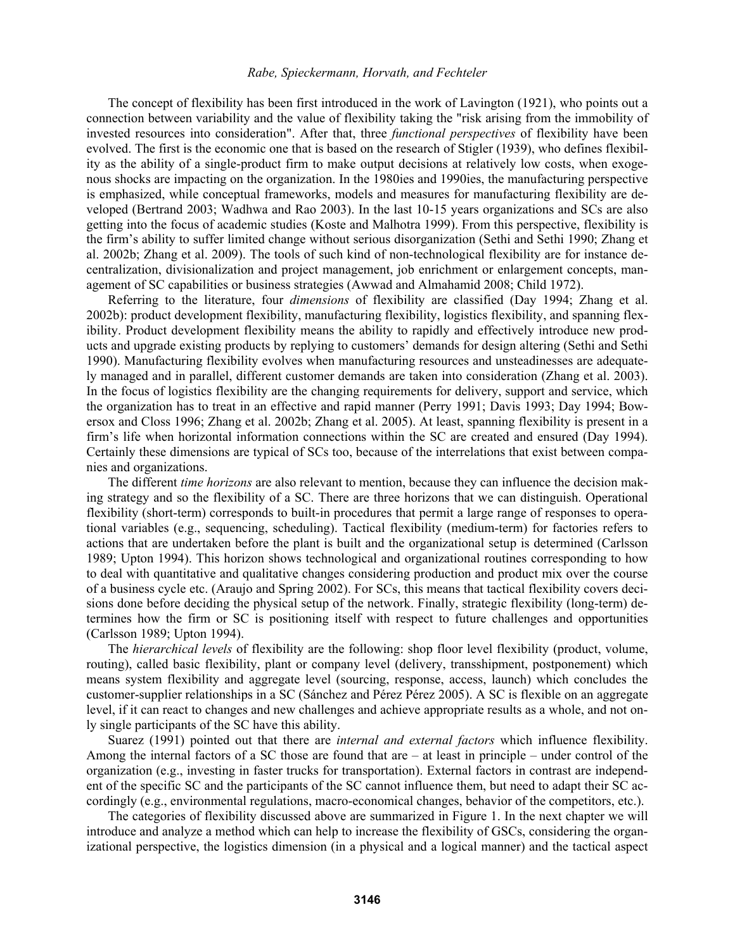The concept of flexibility has been first introduced in the work of Lavington (1921), who points out a connection between variability and the value of flexibility taking the "risk arising from the immobility of invested resources into consideration". After that, three *functional perspectives* of flexibility have been evolved. The first is the economic one that is based on the research of Stigler (1939), who defines flexibility as the ability of a single-product firm to make output decisions at relatively low costs, when exogenous shocks are impacting on the organization. In the 1980ies and 1990ies, the manufacturing perspective is emphasized, while conceptual frameworks, models and measures for manufacturing flexibility are developed (Bertrand 2003; Wadhwa and Rao 2003). In the last 10-15 years organizations and SCs are also getting into the focus of academic studies (Koste and Malhotra 1999). From this perspective, flexibility is the firm's ability to suffer limited change without serious disorganization (Sethi and Sethi 1990; Zhang et al. 2002b; Zhang et al. 2009). The tools of such kind of non-technological flexibility are for instance decentralization, divisionalization and project management, job enrichment or enlargement concepts, management of SC capabilities or business strategies (Awwad and Almahamid 2008; Child 1972).

Referring to the literature, four *dimensions* of flexibility are classified (Day 1994; Zhang et al. 2002b): product development flexibility, manufacturing flexibility, logistics flexibility, and spanning flexibility. Product development flexibility means the ability to rapidly and effectively introduce new products and upgrade existing products by replying to customers' demands for design altering (Sethi and Sethi 1990). Manufacturing flexibility evolves when manufacturing resources and unsteadinesses are adequately managed and in parallel, different customer demands are taken into consideration (Zhang et al. 2003). In the focus of logistics flexibility are the changing requirements for delivery, support and service, which the organization has to treat in an effective and rapid manner (Perry 1991; Davis 1993; Day 1994; Bowersox and Closs 1996; Zhang et al. 2002b; Zhang et al. 2005). At least, spanning flexibility is present in a firm's life when horizontal information connections within the SC are created and ensured (Day 1994). Certainly these dimensions are typical of SCs too, because of the interrelations that exist between companies and organizations.

The different *time horizons* are also relevant to mention, because they can influence the decision making strategy and so the flexibility of a SC. There are three horizons that we can distinguish. Operational flexibility (short-term) corresponds to built-in procedures that permit a large range of responses to operational variables (e.g., sequencing, scheduling). Tactical flexibility (medium-term) for factories refers to actions that are undertaken before the plant is built and the organizational setup is determined (Carlsson 1989; Upton 1994). This horizon shows technological and organizational routines corresponding to how to deal with quantitative and qualitative changes considering production and product mix over the course of a business cycle etc. (Araujo and Spring 2002). For SCs, this means that tactical flexibility covers decisions done before deciding the physical setup of the network. Finally, strategic flexibility (long-term) determines how the firm or SC is positioning itself with respect to future challenges and opportunities (Carlsson 1989; Upton 1994).

The *hierarchical levels* of flexibility are the following: shop floor level flexibility (product, volume, routing), called basic flexibility, plant or company level (delivery, transshipment, postponement) which means system flexibility and aggregate level (sourcing, response, access, launch) which concludes the customer-supplier relationships in a SC (Sánchez and Pérez Pérez 2005). A SC is flexible on an aggregate level, if it can react to changes and new challenges and achieve appropriate results as a whole, and not only single participants of the SC have this ability.

Suarez (1991) pointed out that there are *internal and external factors* which influence flexibility. Among the internal factors of a SC those are found that are – at least in principle – under control of the organization (e.g., investing in faster trucks for transportation). External factors in contrast are independent of the specific SC and the participants of the SC cannot influence them, but need to adapt their SC accordingly (e.g., environmental regulations, macro-economical changes, behavior of the competitors, etc.).

The categories of flexibility discussed above are summarized in Figure 1. In the next chapter we will introduce and analyze a method which can help to increase the flexibility of GSCs, considering the organizational perspective, the logistics dimension (in a physical and a logical manner) and the tactical aspect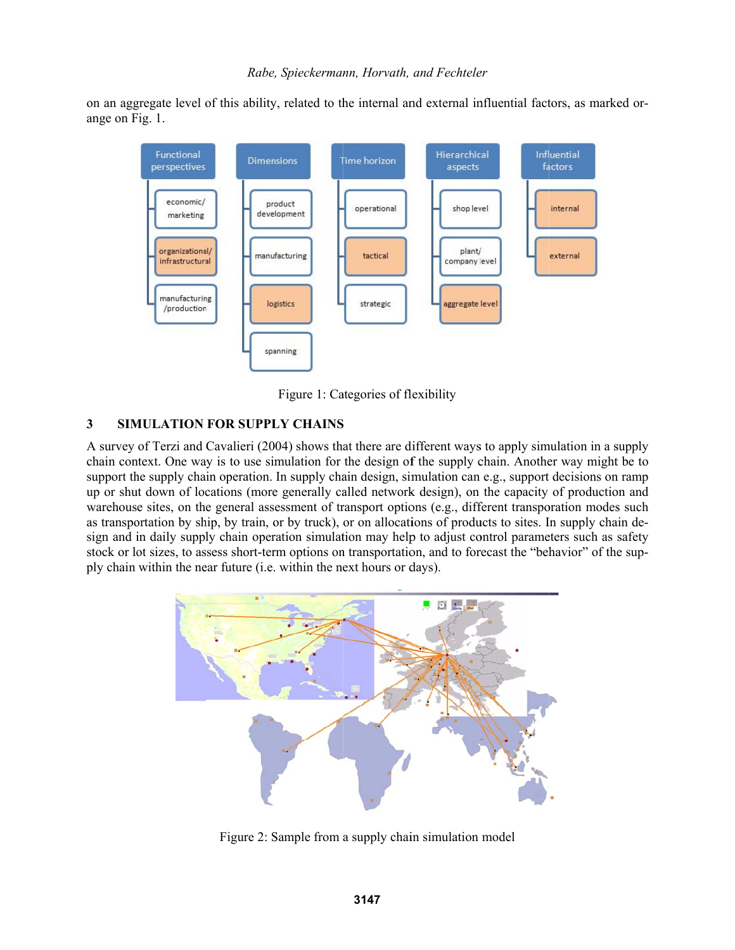on an aggregate level of this ability, related to the internal and external influential factors, as marked orange on F Fig. 1.



Figure 1: Categories of flexibility

# **3** SIMULATION FOR SUPPLY CHAINS

A survey of Terzi and Cavalieri (2004) shows that there are different ways to apply simulation in a supply chain context. One way is to use simulation for the design of the supply chain. Another way might be to support the supply chain operation. In supply chain design, simulation can e.g., support decisions on ramp up or shut down of locations (more generally called network design), on the capacity of production and warehouse sites, on the general assessment of transport options (e.g., different transporation modes such as transportation by ship, by train, or by truck), or on allocations of products to sites. In supply chain design and in daily supply chain operation simulation may help to adjust control parameters such as safety stock or lot sizes, to assess short-term options on transportation, and to forecast the "behavior" of the supply chain within the near future (i.e. within the next hours or days).



Figure 2: Sample from a supply chain simulation model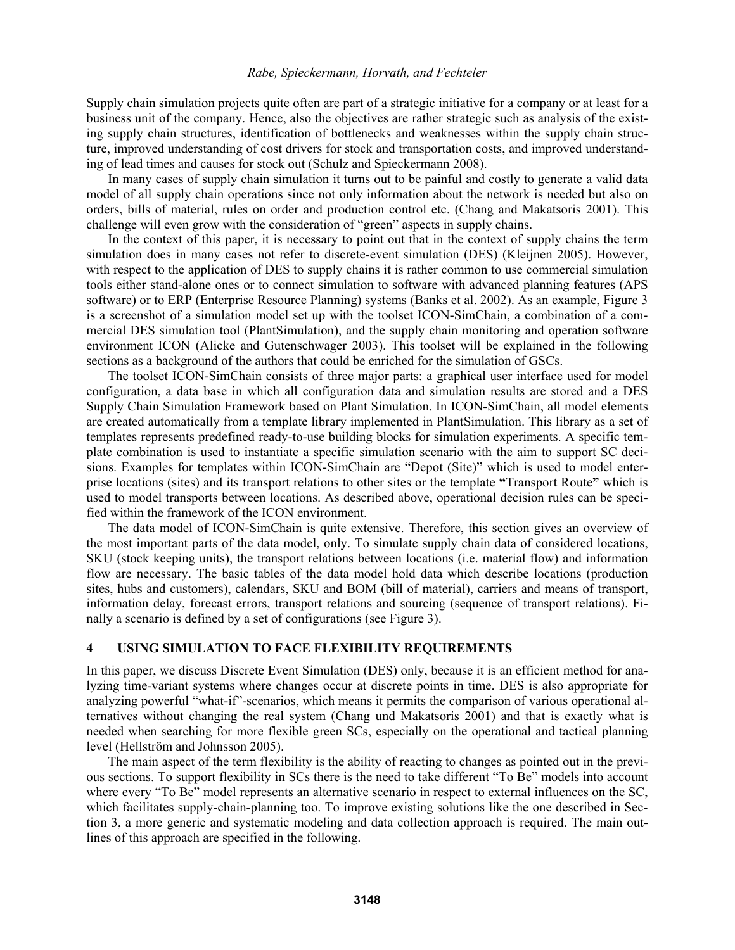Supply chain simulation projects quite often are part of a strategic initiative for a company or at least for a business unit of the company. Hence, also the objectives are rather strategic such as analysis of the existing supply chain structures, identification of bottlenecks and weaknesses within the supply chain structure, improved understanding of cost drivers for stock and transportation costs, and improved understanding of lead times and causes for stock out (Schulz and Spieckermann 2008).

In many cases of supply chain simulation it turns out to be painful and costly to generate a valid data model of all supply chain operations since not only information about the network is needed but also on orders, bills of material, rules on order and production control etc. (Chang and Makatsoris 2001). This challenge will even grow with the consideration of "green" aspects in supply chains.

In the context of this paper, it is necessary to point out that in the context of supply chains the term simulation does in many cases not refer to discrete-event simulation (DES) (Kleijnen 2005). However, with respect to the application of DES to supply chains it is rather common to use commercial simulation tools either stand-alone ones or to connect simulation to software with advanced planning features (APS software) or to ERP (Enterprise Resource Planning) systems (Banks et al. 2002). As an example, Figure 3 is a screenshot of a simulation model set up with the toolset ICON-SimChain, a combination of a commercial DES simulation tool (PlantSimulation), and the supply chain monitoring and operation software environment ICON (Alicke and Gutenschwager 2003). This toolset will be explained in the following sections as a background of the authors that could be enriched for the simulation of GSCs.

The toolset ICON-SimChain consists of three major parts: a graphical user interface used for model configuration, a data base in which all configuration data and simulation results are stored and a DES Supply Chain Simulation Framework based on Plant Simulation. In ICON-SimChain, all model elements are created automatically from a template library implemented in PlantSimulation. This library as a set of templates represents predefined ready-to-use building blocks for simulation experiments. A specific template combination is used to instantiate a specific simulation scenario with the aim to support SC decisions. Examples for templates within ICON-SimChain are "Depot (Site)" which is used to model enterprise locations (sites) and its transport relations to other sites or the template **"**Transport Route**"** which is used to model transports between locations. As described above, operational decision rules can be specified within the framework of the ICON environment.

The data model of ICON-SimChain is quite extensive. Therefore, this section gives an overview of the most important parts of the data model, only. To simulate supply chain data of considered locations, SKU (stock keeping units), the transport relations between locations (i.e. material flow) and information flow are necessary. The basic tables of the data model hold data which describe locations (production sites, hubs and customers), calendars, SKU and BOM (bill of material), carriers and means of transport, information delay, forecast errors, transport relations and sourcing (sequence of transport relations). Finally a scenario is defined by a set of configurations (see Figure 3).

### **4 USING SIMULATION TO FACE FLEXIBILITY REQUIREMENTS**

In this paper, we discuss Discrete Event Simulation (DES) only, because it is an efficient method for analyzing time-variant systems where changes occur at discrete points in time. DES is also appropriate for analyzing powerful "what-if"-scenarios, which means it permits the comparison of various operational alternatives without changing the real system (Chang und Makatsoris 2001) and that is exactly what is needed when searching for more flexible green SCs, especially on the operational and tactical planning level (Hellström and Johnsson 2005).

The main aspect of the term flexibility is the ability of reacting to changes as pointed out in the previous sections. To support flexibility in SCs there is the need to take different "To Be" models into account where every "To Be" model represents an alternative scenario in respect to external influences on the SC, which facilitates supply-chain-planning too. To improve existing solutions like the one described in Section 3, a more generic and systematic modeling and data collection approach is required. The main outlines of this approach are specified in the following.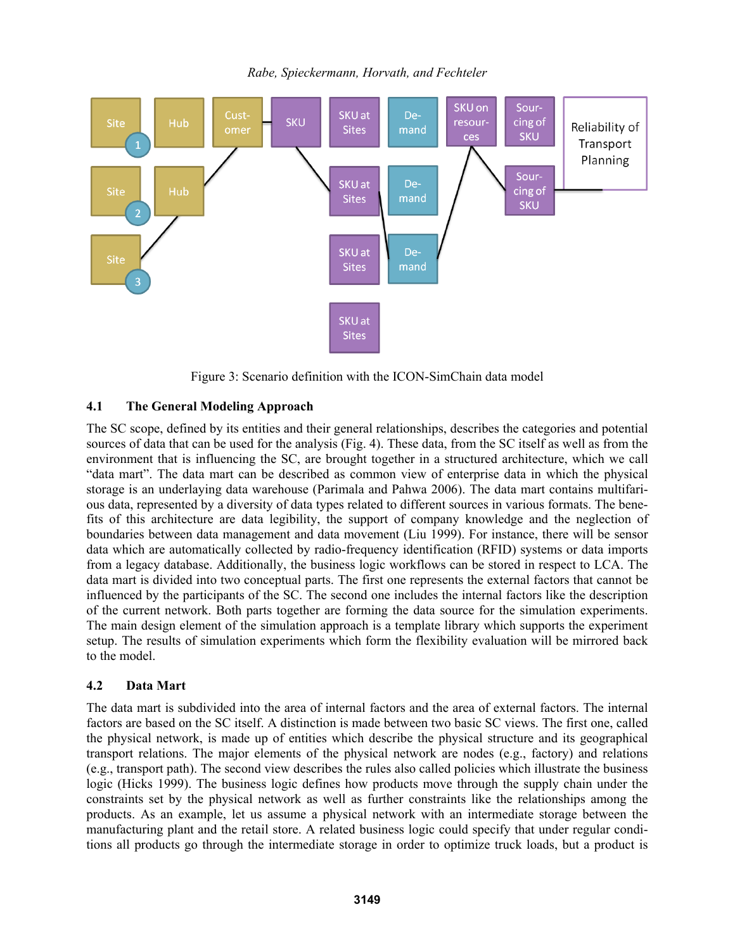

Figure 3: Scenario definition with the ICON-SimChain data model

# **4.1 The General Modeling Approach**

The SC scope, defined by its entities and their general relationships, describes the categories and potential sources of data that can be used for the analysis (Fig. 4). These data, from the SC itself as well as from the environment that is influencing the SC, are brought together in a structured architecture, which we call "data mart". The data mart can be described as common view of enterprise data in which the physical storage is an underlaying data warehouse (Parimala and Pahwa 2006). The data mart contains multifarious data, represented by a diversity of data types related to different sources in various formats. The benefits of this architecture are data legibility, the support of company knowledge and the neglection of boundaries between data management and data movement (Liu 1999). For instance, there will be sensor data which are automatically collected by radio-frequency identification (RFID) systems or data imports from a legacy database. Additionally, the business logic workflows can be stored in respect to LCA. The data mart is divided into two conceptual parts. The first one represents the external factors that cannot be influenced by the participants of the SC. The second one includes the internal factors like the description of the current network. Both parts together are forming the data source for the simulation experiments. The main design element of the simulation approach is a template library which supports the experiment setup. The results of simulation experiments which form the flexibility evaluation will be mirrored back to the model.

# **4.2 Data Mart**

The data mart is subdivided into the area of internal factors and the area of external factors. The internal factors are based on the SC itself. A distinction is made between two basic SC views. The first one, called the physical network, is made up of entities which describe the physical structure and its geographical transport relations. The major elements of the physical network are nodes (e.g., factory) and relations (e.g., transport path). The second view describes the rules also called policies which illustrate the business logic (Hicks 1999). The business logic defines how products move through the supply chain under the constraints set by the physical network as well as further constraints like the relationships among the products. As an example, let us assume a physical network with an intermediate storage between the manufacturing plant and the retail store. A related business logic could specify that under regular conditions all products go through the intermediate storage in order to optimize truck loads, but a product is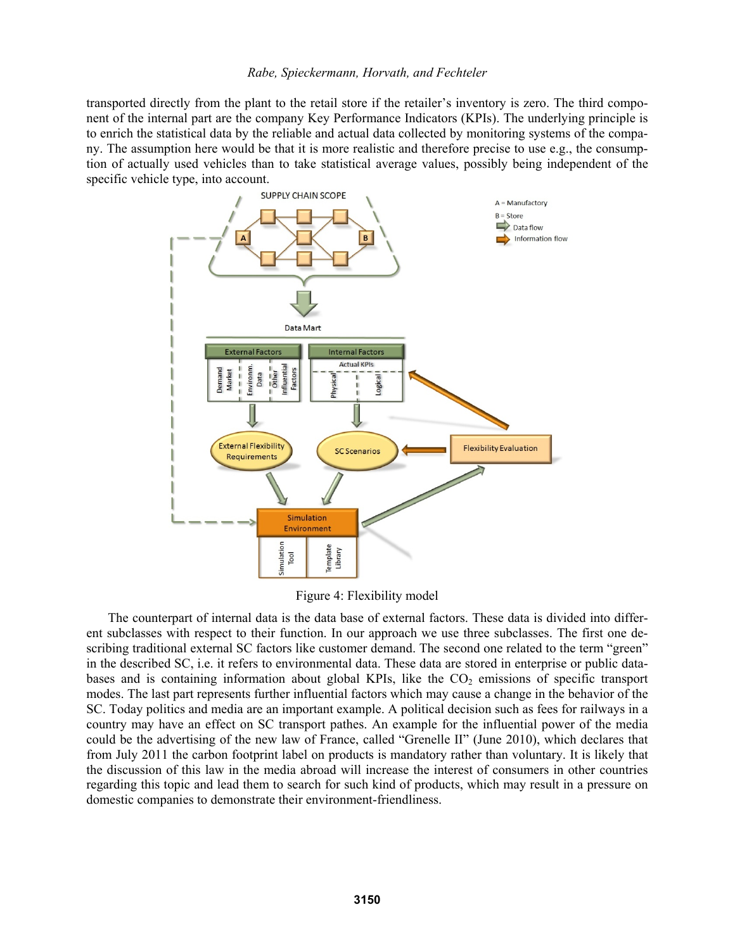transported directly from the plant to the retail store if the retailer's inventory is zero. The third component of the internal part are the company Key Performance Indicators (KPIs). The underlying principle is to enrich the statistical data by the reliable and actual data collected by monitoring systems of the company. The assumption here would be that it is more realistic and therefore precise to use e.g., the consumption of actually used vehicles than to take statistical average values, possibly being independent of the specific vehicle type, into account.



Figure 4: Flexibility model

The counterpart of internal data is the data base of external factors. These data is divided into different subclasses with respect to their function. In our approach we use three subclasses. The first one describing traditional external SC factors like customer demand. The second one related to the term "green" in the described SC, i.e. it refers to environmental data. These data are stored in enterprise or public databases and is containing information about global KPIs, like the  $CO<sub>2</sub>$  emissions of specific transport modes. The last part represents further influential factors which may cause a change in the behavior of the SC. Today politics and media are an important example. A political decision such as fees for railways in a country may have an effect on SC transport pathes. An example for the influential power of the media could be the advertising of the new law of France, called "Grenelle ΙI" (June 2010), which declares that from July 2011 the carbon footprint label on products is mandatory rather than voluntary. It is likely that the discussion of this law in the media abroad will increase the interest of consumers in other countries regarding this topic and lead them to search for such kind of products, which may result in a pressure on domestic companies to demonstrate their environment-friendliness.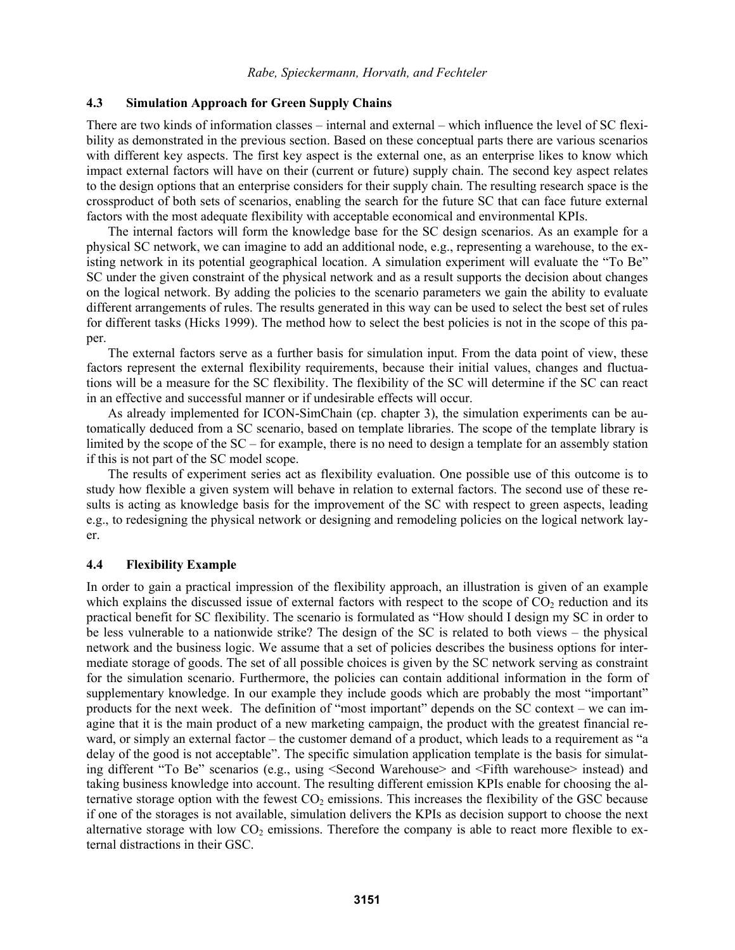## **4.3 Simulation Approach for Green Supply Chains**

There are two kinds of information classes – internal and external – which influence the level of SC flexibility as demonstrated in the previous section. Based on these conceptual parts there are various scenarios with different key aspects. The first key aspect is the external one, as an enterprise likes to know which impact external factors will have on their (current or future) supply chain. The second key aspect relates to the design options that an enterprise considers for their supply chain. The resulting research space is the crossproduct of both sets of scenarios, enabling the search for the future SC that can face future external factors with the most adequate flexibility with acceptable economical and environmental KPIs.

The internal factors will form the knowledge base for the SC design scenarios. As an example for a physical SC network, we can imagine to add an additional node, e.g., representing a warehouse, to the existing network in its potential geographical location. A simulation experiment will evaluate the "To Be" SC under the given constraint of the physical network and as a result supports the decision about changes on the logical network. By adding the policies to the scenario parameters we gain the ability to evaluate different arrangements of rules. The results generated in this way can be used to select the best set of rules for different tasks (Hicks 1999). The method how to select the best policies is not in the scope of this paper.

The external factors serve as a further basis for simulation input. From the data point of view, these factors represent the external flexibility requirements, because their initial values, changes and fluctuations will be a measure for the SC flexibility. The flexibility of the SC will determine if the SC can react in an effective and successful manner or if undesirable effects will occur.

As already implemented for ICON-SimChain (cp. chapter 3), the simulation experiments can be automatically deduced from a SC scenario, based on template libraries. The scope of the template library is limited by the scope of the SC – for example, there is no need to design a template for an assembly station if this is not part of the SC model scope.

The results of experiment series act as flexibility evaluation. One possible use of this outcome is to study how flexible a given system will behave in relation to external factors. The second use of these results is acting as knowledge basis for the improvement of the SC with respect to green aspects, leading e.g., to redesigning the physical network or designing and remodeling policies on the logical network layer.

## **4.4 Flexibility Example**

In order to gain a practical impression of the flexibility approach, an illustration is given of an example which explains the discussed issue of external factors with respect to the scope of  $CO<sub>2</sub>$  reduction and its practical benefit for SC flexibility. The scenario is formulated as "How should I design my SC in order to be less vulnerable to a nationwide strike? The design of the SC is related to both views – the physical network and the business logic. We assume that a set of policies describes the business options for intermediate storage of goods. The set of all possible choices is given by the SC network serving as constraint for the simulation scenario. Furthermore, the policies can contain additional information in the form of supplementary knowledge. In our example they include goods which are probably the most "important" products for the next week. The definition of "most important" depends on the SC context – we can imagine that it is the main product of a new marketing campaign, the product with the greatest financial reward, or simply an external factor – the customer demand of a product, which leads to a requirement as "a delay of the good is not acceptable". The specific simulation application template is the basis for simulating different "To Be" scenarios (e.g., using <Second Warehouse> and <Fifth warehouse> instead) and taking business knowledge into account. The resulting different emission KPIs enable for choosing the alternative storage option with the fewest  $CO<sub>2</sub>$  emissions. This increases the flexibility of the GSC because if one of the storages is not available, simulation delivers the KPIs as decision support to choose the next alternative storage with low  $CO<sub>2</sub>$  emissions. Therefore the company is able to react more flexible to external distractions in their GSC.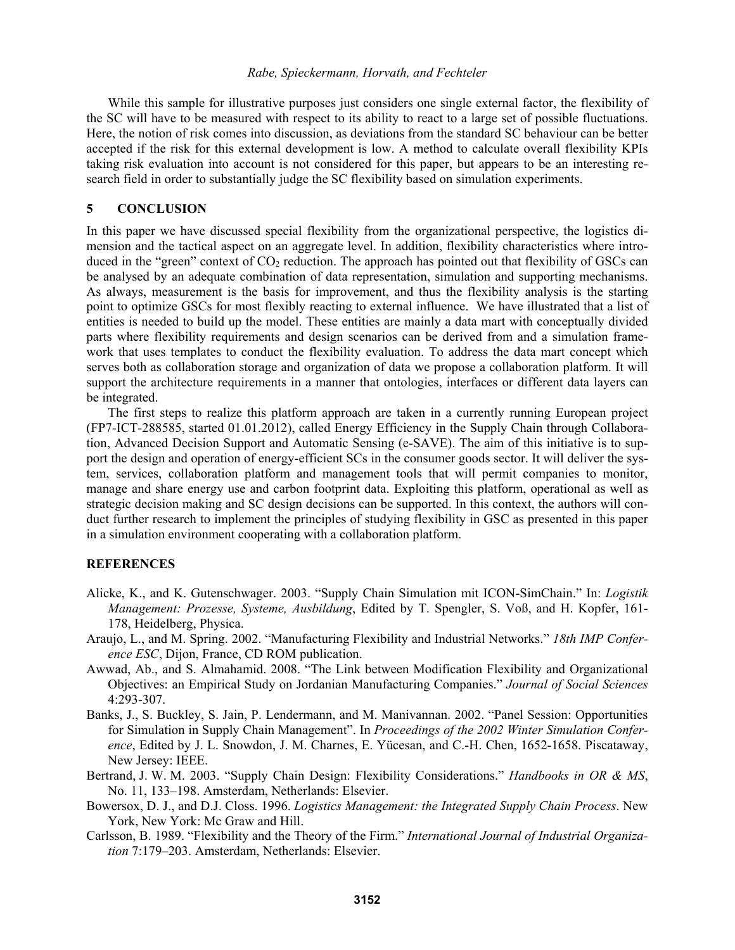While this sample for illustrative purposes just considers one single external factor, the flexibility of the SC will have to be measured with respect to its ability to react to a large set of possible fluctuations. Here, the notion of risk comes into discussion, as deviations from the standard SC behaviour can be better accepted if the risk for this external development is low. A method to calculate overall flexibility KPIs taking risk evaluation into account is not considered for this paper, but appears to be an interesting research field in order to substantially judge the SC flexibility based on simulation experiments.

### **5 CONCLUSION**

In this paper we have discussed special flexibility from the organizational perspective, the logistics dimension and the tactical aspect on an aggregate level. In addition, flexibility characteristics where introduced in the "green" context of  $CO<sub>2</sub>$  reduction. The approach has pointed out that flexibility of GSCs can be analysed by an adequate combination of data representation, simulation and supporting mechanisms. As always, measurement is the basis for improvement, and thus the flexibility analysis is the starting point to optimize GSCs for most flexibly reacting to external influence. We have illustrated that a list of entities is needed to build up the model. These entities are mainly a data mart with conceptually divided parts where flexibility requirements and design scenarios can be derived from and a simulation framework that uses templates to conduct the flexibility evaluation. To address the data mart concept which serves both as collaboration storage and organization of data we propose a collaboration platform. It will support the architecture requirements in a manner that ontologies, interfaces or different data layers can be integrated.

The first steps to realize this platform approach are taken in a currently running European project (FP7-ICT-288585, started 01.01.2012), called Energy Efficiency in the Supply Chain through Collaboration, Advanced Decision Support and Automatic Sensing (e-SAVE). The aim of this initiative is to support the design and operation of energy-efficient SCs in the consumer goods sector. It will deliver the system, services, collaboration platform and management tools that will permit companies to monitor, manage and share energy use and carbon footprint data. Exploiting this platform, operational as well as strategic decision making and SC design decisions can be supported. In this context, the authors will conduct further research to implement the principles of studying flexibility in GSC as presented in this paper in a simulation environment cooperating with a collaboration platform.

### **REFERENCES**

- Alicke, K., and K. Gutenschwager. 2003. "Supply Chain Simulation mit ICON-SimChain." In: *Logistik Management: Prozesse, Systeme, Ausbildung*, Edited by T. Spengler, S. Voß, and H. Kopfer, 161- 178, Heidelberg, Physica.
- Araujo, L., and M. Spring. 2002. "Manufacturing Flexibility and Industrial Networks." *18th IMP Conference ESC*, Dijon, France, CD ROM publication.
- Awwad, Ab., and S. Almahamid. 2008. "The Link between Modification Flexibility and Organizational Objectives: an Empirical Study on Jordanian Manufacturing Companies." *Journal of Social Sciences* 4:293-307.
- Banks, J., S. Buckley, S. Jain, P. Lendermann, and M. Manivannan. 2002. "Panel Session: Opportunities for Simulation in Supply Chain Management". In *Proceedings of the 2002 Winter Simulation Conference*, Edited by J. L. Snowdon, J. M. Charnes, E. Yücesan, and C.-H. Chen, 1652-1658. Piscataway, New Jersey: IEEE.
- Bertrand, J. W. M. 2003. "Supply Chain Design: Flexibility Considerations." *Handbooks in OR & MS*, No. 11, 133–198. Amsterdam, Netherlands: Elsevier.
- Bowersox, D. J., and D.J. Closs. 1996. *Logistics Management: the Integrated Supply Chain Process*. New York, New York: Mc Graw and Hill.
- Carlsson, B. 1989. "Flexibility and the Theory of the Firm." *International Journal of Industrial Organization* 7:179–203. Amsterdam, Netherlands: Elsevier.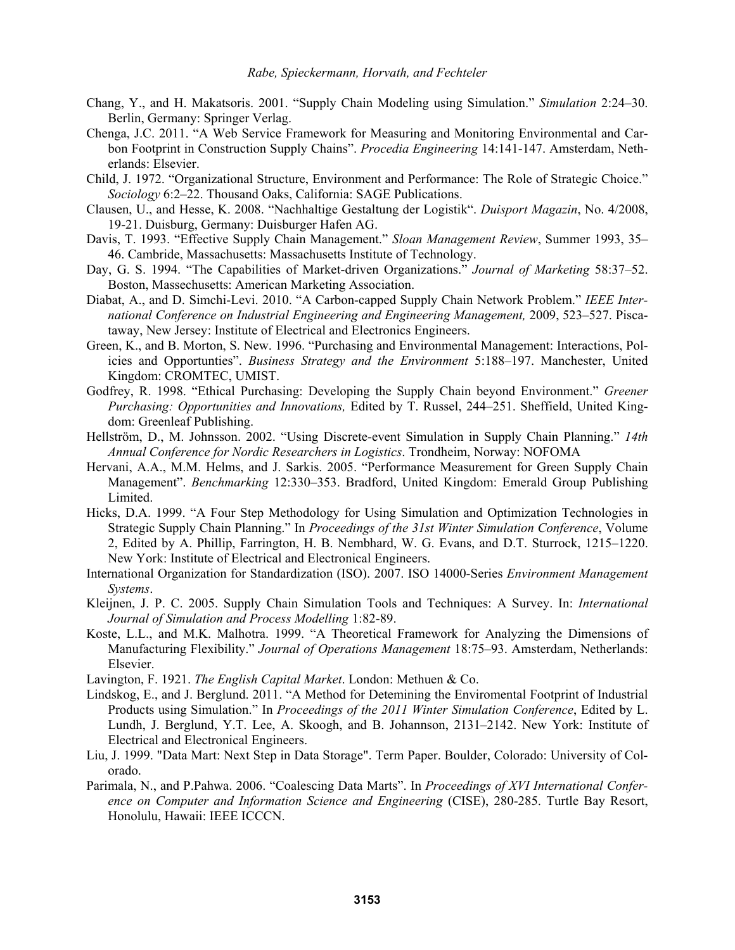- Chang, Y., and H. Makatsoris. 2001. "Supply Chain Modeling using Simulation." *Simulation* 2:24–30. Berlin, Germany: Springer Verlag.
- Chenga, J.C. 2011. "A Web Service Framework for Measuring and Monitoring Environmental and Carbon Footprint in Construction Supply Chains". *Procedia Engineering* 14:141-147. Amsterdam, Netherlands: Elsevier.
- Child, J. 1972. "Organizational Structure, Environment and Performance: The Role of Strategic Choice." *Sociology* 6:2–22. Thousand Oaks, California: SAGE Publications.
- Clausen, U., and Hesse, K. 2008. "Nachhaltige Gestaltung der Logistik". *Duisport Magazin*, No. 4/2008, 19-21. Duisburg, Germany: Duisburger Hafen AG.
- Davis, T. 1993. "Effective Supply Chain Management." *Sloan Management Review*, Summer 1993, 35– 46. Cambride, Massachusetts: Massachusetts Institute of Technology.
- Day, G. S. 1994. "The Capabilities of Market-driven Organizations." *Journal of Marketing* 58:37–52. Boston, Massechusetts: American Marketing Association.
- Diabat, A., and D. Simchi-Levi. 2010. "A Carbon-capped Supply Chain Network Problem." *IEEE International Conference on Industrial Engineering and Engineering Management,* 2009, 523–527. Piscataway, New Jersey: Institute of Electrical and Electronics Engineers.
- Green, K., and B. Morton, S. New. 1996. "Purchasing and Environmental Management: Interactions, Policies and Opportunties". *Business Strategy and the Environment* 5:188–197. Manchester, United Kingdom: CROMTEC, UMIST.
- Godfrey, R. 1998. "Ethical Purchasing: Developing the Supply Chain beyond Environment." *Greener Purchasing: Opportunities and Innovations,* Edited by T. Russel, 244–251. Sheffield, United Kingdom: Greenleaf Publishing.
- Hellström, D., M. Johnsson. 2002. "Using Discrete-event Simulation in Supply Chain Planning." *14th Annual Conference for Nordic Researchers in Logistics*. Trondheim, Norway: NOFOMA
- Hervani, A.A., M.M. Helms, and J. Sarkis. 2005. "Performance Measurement for Green Supply Chain Management". *Benchmarking* 12:330–353. Bradford, United Kingdom: Emerald Group Publishing **Limited**
- Hicks, D.A. 1999. "A Four Step Methodology for Using Simulation and Optimization Technologies in Strategic Supply Chain Planning." In *Proceedings of the 31st Winter Simulation Conference*, Volume 2, Edited by A. Phillip, Farrington, H. B. Nembhard, W. G. Evans, and D.T. Sturrock, 1215–1220. New York: Institute of Electrical and Electronical Engineers.
- International Organization for Standardization (ISO). 2007. ISO 14000-Series *Environment Management Systems*.
- Kleijnen, J. P. C. 2005. Supply Chain Simulation Tools and Techniques: A Survey. In: *International Journal of Simulation and Process Modelling* 1:82-89.
- Koste, L.L., and M.K. Malhotra. 1999. "A Theoretical Framework for Analyzing the Dimensions of Manufacturing Flexibility." *Journal of Operations Management* 18:75–93. Amsterdam, Netherlands: Elsevier.
- Lavington, F. 1921. *The English Capital Market*. London: Methuen & Co.
- Lindskog, E., and J. Berglund. 2011. "A Method for Detemining the Enviromental Footprint of Industrial Products using Simulation." In *Proceedings of the 2011 Winter Simulation Conference*, Edited by L. Lundh, J. Berglund, Y.T. Lee, A. Skoogh, and B. Johannson, 2131–2142. New York: Institute of Electrical and Electronical Engineers.
- Liu, J. 1999. "Data Mart: Next Step in Data Storage". Term Paper. Boulder, Colorado: University of Colorado.
- Parimala, N., and P.Pahwa. 2006. "Coalescing Data Marts". In *Proceedings of XVI International Conference on Computer and Information Science and Engineering* (CISE), 280-285. Turtle Bay Resort, Honolulu, Hawaii: IEEE ICCCN.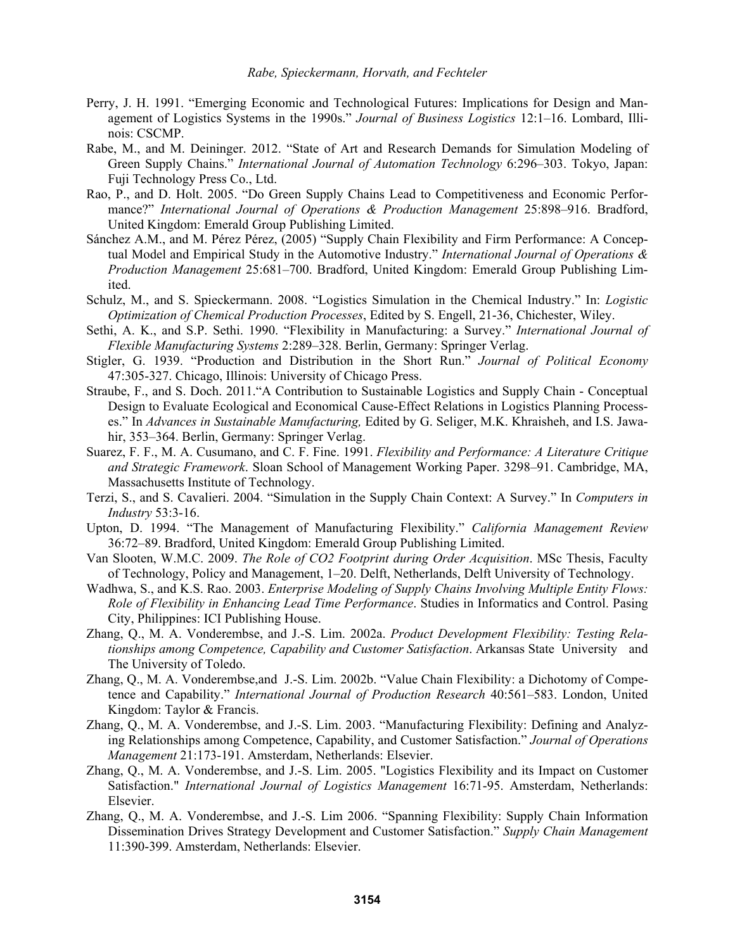- Perry, J. H. 1991. "Emerging Economic and Technological Futures: Implications for Design and Management of Logistics Systems in the 1990s." *Journal of Business Logistics* 12:1–16. Lombard, Illinois: CSCMP.
- Rabe, M., and M. Deininger. 2012. "State of Art and Research Demands for Simulation Modeling of Green Supply Chains." *International Journal of Automation Technology* 6:296–303. Tokyo, Japan: Fuji Technology Press Co., Ltd.
- Rao, P., and D. Holt. 2005. "Do Green Supply Chains Lead to Competitiveness and Economic Performance?" *International Journal of Operations & Production Management* 25:898–916. Bradford, United Kingdom: Emerald Group Publishing Limited.
- Sánchez A.M., and M. Pérez Pérez, (2005) "Supply Chain Flexibility and Firm Performance: A Conceptual Model and Empirical Study in the Automotive Industry." *International Journal of Operations & Production Management* 25:681–700. Bradford, United Kingdom: Emerald Group Publishing Limited.
- Schulz, M., and S. Spieckermann. 2008. "Logistics Simulation in the Chemical Industry." In: *Logistic Optimization of Chemical Production Processes*, Edited by S. Engell, 21-36, Chichester, Wiley.
- Sethi, A. K., and S.P. Sethi. 1990. "Flexibility in Manufacturing: a Survey." *International Journal of Flexible Manufacturing Systems* 2:289–328. Berlin, Germany: Springer Verlag.
- Stigler, G. 1939. "Production and Distribution in the Short Run." *Journal of Political Economy* 47:305-327. Chicago, Illinois: University of Chicago Press.
- Straube, F., and S. Doch. 2011."A Contribution to Sustainable Logistics and Supply Chain Conceptual Design to Evaluate Ecological and Economical Cause-Effect Relations in Logistics Planning Processes." In *Advances in Sustainable Manufacturing,* Edited by G. Seliger, M.K. Khraisheh, and I.S. Jawahir, 353–364. Berlin, Germany: Springer Verlag.
- Suarez, F. F., M. A. Cusumano, and C. F. Fine. 1991. *Flexibility and Performance: A Literature Critique and Strategic Framework*. Sloan School of Management Working Paper. 3298–91. Cambridge, MA, Massachusetts Institute of Technology.
- Terzi, S., and S. Cavalieri. 2004. "Simulation in the Supply Chain Context: A Survey." In *Computers in Industry* 53:3-16.
- Upton, D. 1994. "The Management of Manufacturing Flexibility." *California Management Review* 36:72–89. Bradford, United Kingdom: Emerald Group Publishing Limited.
- Van Slooten, W.M.C. 2009. *The Role of CO2 Footprint during Order Acquisition*. MSc Thesis, Faculty of Technology, Policy and Management, 1–20. Delft, Netherlands, Delft University of Technology.
- Wadhwa, S., and K.S. Rao. 2003. *Enterprise Modeling of Supply Chains Involving Multiple Entity Flows: Role of Flexibility in Enhancing Lead Time Performance*. Studies in Informatics and Control. Pasing City, Philippines: ICI Publishing House.
- Zhang, Q., M. A. Vonderembse, and J.-S. Lim. 2002a. *Product Development Flexibility: Testing Relationships among Competence, Capability and Customer Satisfaction*. Arkansas State University and The University of Toledo.
- Zhang, Q., M. A. Vonderembse,and J.-S. Lim. 2002b. "Value Chain Flexibility: a Dichotomy of Competence and Capability." *International Journal of Production Research* 40:561–583. London, United Kingdom: Taylor & Francis.
- Zhang, Q., M. A. Vonderembse, and J.-S. Lim. 2003. "Manufacturing Flexibility: Defining and Analyzing Relationships among Competence, Capability, and Customer Satisfaction." *Journal of Operations Management* 21:173-191. Amsterdam, Netherlands: Elsevier.
- Zhang, Q., M. A. Vonderembse, and J.-S. Lim. 2005. "Logistics Flexibility and its Impact on Customer Satisfaction." *International Journal of Logistics Management* 16:71-95. Amsterdam, Netherlands: Elsevier.
- Zhang, Q., M. A. Vonderembse, and J.-S. Lim 2006. "Spanning Flexibility: Supply Chain Information Dissemination Drives Strategy Development and Customer Satisfaction." *Supply Chain Management* 11:390-399. Amsterdam, Netherlands: Elsevier.